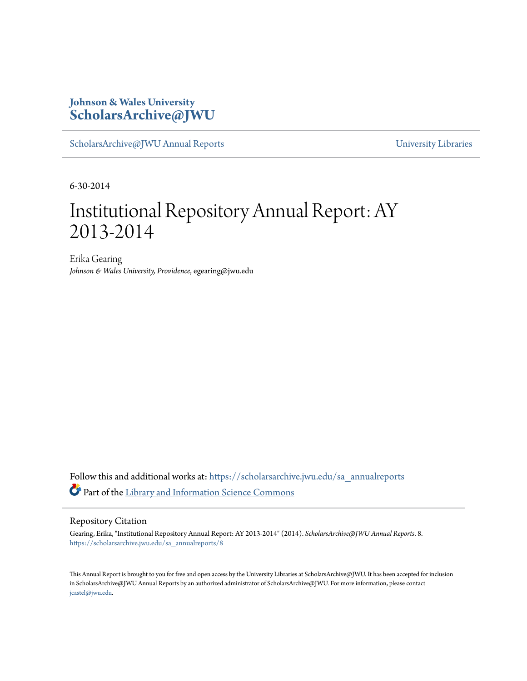# **Johnson & Wales University [ScholarsArchive@JWU](https://scholarsarchive.jwu.edu?utm_source=scholarsarchive.jwu.edu%2Fsa_annualreports%2F8&utm_medium=PDF&utm_campaign=PDFCoverPages)**

[ScholarsArchive@JWU Annual Reports](https://scholarsarchive.jwu.edu/sa_annualreports?utm_source=scholarsarchive.jwu.edu%2Fsa_annualreports%2F8&utm_medium=PDF&utm_campaign=PDFCoverPages) **Example 2018** [University Libraries](https://scholarsarchive.jwu.edu/University_Libraries?utm_source=scholarsarchive.jwu.edu%2Fsa_annualreports%2F8&utm_medium=PDF&utm_campaign=PDFCoverPages)

6-30-2014

# Institutional Repository Annual Report: AY 2013-2014

Erika Gearing *Johnson & Wales University, Providence*, egearing@jwu.edu

Follow this and additional works at: [https://scholarsarchive.jwu.edu/sa\\_annualreports](https://scholarsarchive.jwu.edu/sa_annualreports?utm_source=scholarsarchive.jwu.edu%2Fsa_annualreports%2F8&utm_medium=PDF&utm_campaign=PDFCoverPages) Part of the [Library and Information Science Commons](http://network.bepress.com/hgg/discipline/1018?utm_source=scholarsarchive.jwu.edu%2Fsa_annualreports%2F8&utm_medium=PDF&utm_campaign=PDFCoverPages)

#### Repository Citation

Gearing, Erika, "Institutional Repository Annual Report: AY 2013-2014" (2014). *ScholarsArchive@JWU Annual Reports*. 8. [https://scholarsarchive.jwu.edu/sa\\_annualreports/8](https://scholarsarchive.jwu.edu/sa_annualreports/8?utm_source=scholarsarchive.jwu.edu%2Fsa_annualreports%2F8&utm_medium=PDF&utm_campaign=PDFCoverPages)

This Annual Report is brought to you for free and open access by the University Libraries at ScholarsArchive@JWU. It has been accepted for inclusion in ScholarsArchive@JWU Annual Reports by an authorized administrator of ScholarsArchive@JWU. For more information, please contact [jcastel@jwu.edu.](mailto:jcastel@jwu.edu)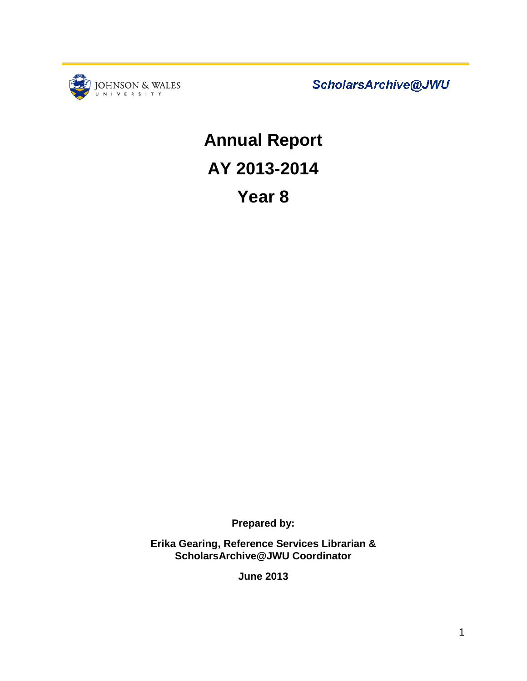

ScholarsArchive@JWU

# **Annual Report AY 2013-2014 Year 8**

**Prepared by:** 

**Erika Gearing, Reference Services Librarian & ScholarsArchive@JWU Coordinator**

**June 2013**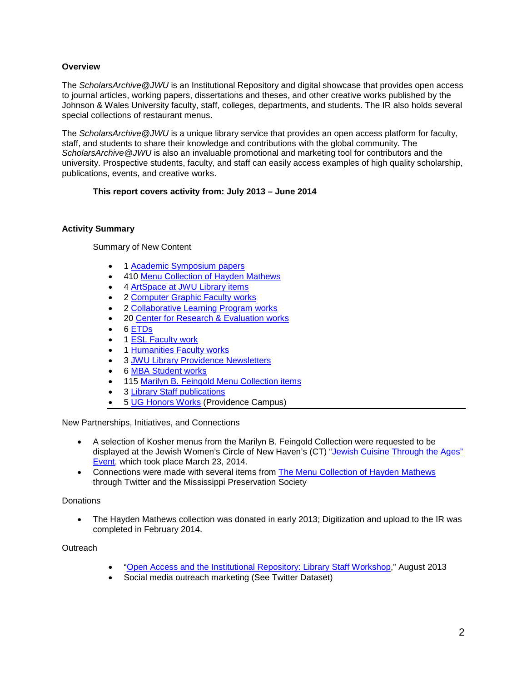# **Overview**

The *ScholarsArchive@JWU* is an Institutional Repository and digital showcase that provides open access to journal articles, working papers, dissertations and theses, and other creative works published by the Johnson & Wales University faculty, staff, colleges, departments, and students. The IR also holds several special collections of restaurant menus.

The *ScholarsArchive@JWU* is a unique library service that provides an open access platform for faculty, staff, and students to share their knowledge and contributions with the global community. The *ScholarsArchive@JWU* is also an invaluable promotional and marketing tool for contributors and the university. Prospective students, faculty, and staff can easily access examples of high quality scholarship, publications, events, and creative works.

# **This report covers activity from: July 2013 – June 2014**

# **Activity Summary**

Summary of New Content

- 1 [Academic Symposium papers](http://scholarsarchive.jwu.edu/ac_symposium/)
- 410 [Menu Collection of Hayden Mathews](http://scholarsarchive.jwu.edu/mathews_collection/)
- 4 [ArtSpace at JWU Library items](http://scholarsarchive.jwu.edu/artspace/)
- 2 [Computer Graphic Faculty works](http://scholarsarchive.jwu.edu/cgd_fac/)
- 2 [Collaborative Learning Program works](http://scholarsarchive.jwu.edu/clp/)
- 20 [Center for Research & Evaluation works](http://scholarsarchive.jwu.edu/research/)
- 6 [ETDs](http://scholarsarchive.jwu.edu/dissertations/)
- 1 [ESL Faculty work](http://scholarsarchive.jwu.edu/esl_fac/)
- 1 [Humanities Faculty works](http://scholarsarchive.jwu.edu/humanities_fac/)
- 3 [JWU Library Providence Newsletters](http://scholarsarchive.jwu.edu/lib_newsletter/)
- 6 [MBA Student works](http://scholarsarchive.jwu.edu/mba_student/)
- 115 [Marilyn B. Feingold Menu Collection items](http://scholarsarchive.jwu.edu/mbf_collection/)
- 3 [Library Staff publications](http://scholarsarchive.jwu.edu/staff_pub/)
- 5 [UG Honors Works](http://scholarsarchive.jwu.edu/student_scholarship/) (Providence Campus)

New Partnerships, Initiatives, and Connections

- A selection of Kosher menus from the Marilyn B. Feingold Collection were requested to be displayed at the Jewish Women's Circle of New Haven's (CT) ["Jewish Cuisine Through the Ages"](http://jewishcuisinethroughtheages.com/)  [Event,](http://jewishcuisinethroughtheages.com/) which took place March 23, 2014.
- Connections were made with several items from [The Menu Collection of Hayden Mathews](http://scholarsarchive.jwu.edu/mathews_collection/) through Twitter and the Mississippi Preservation Society

## **Donations**

• The Hayden Mathews collection was donated in early 2013; Digitization and upload to the IR was completed in February 2014.

## Outreach

- ["Open Access and the Institutional Repository: Library Staff Workshop,](http://scholarsarchive.jwu.edu/staff_pub/18/)" August 2013
- Social media outreach marketing (See Twitter Dataset)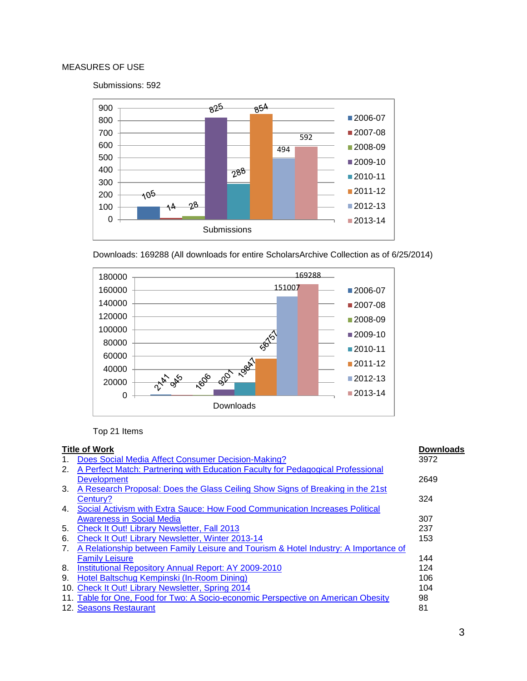# MEASURES OF USE





Downloads: 169288 (All downloads for entire ScholarsArchive Collection as of 6/25/2014)



Top 21 Items

| <b>Title of Work</b>                                                            |                                                                                                                                                                                                                                                                                                                                                                                                          |
|---------------------------------------------------------------------------------|----------------------------------------------------------------------------------------------------------------------------------------------------------------------------------------------------------------------------------------------------------------------------------------------------------------------------------------------------------------------------------------------------------|
| Does Social Media Affect Consumer Decision-Making?                              | 3972                                                                                                                                                                                                                                                                                                                                                                                                     |
| A Perfect Match: Partnering with Education Faculty for Pedagogical Professional |                                                                                                                                                                                                                                                                                                                                                                                                          |
| <b>Development</b>                                                              | 2649                                                                                                                                                                                                                                                                                                                                                                                                     |
|                                                                                 |                                                                                                                                                                                                                                                                                                                                                                                                          |
| Century?                                                                        | 324                                                                                                                                                                                                                                                                                                                                                                                                      |
| Social Activism with Extra Sauce: How Food Communication Increases Political    |                                                                                                                                                                                                                                                                                                                                                                                                          |
| <b>Awareness in Social Media</b>                                                | 307                                                                                                                                                                                                                                                                                                                                                                                                      |
| Check It Out! Library Newsletter, Fall 2013                                     | 237                                                                                                                                                                                                                                                                                                                                                                                                      |
| Check It Out! Library Newsletter, Winter 2013-14                                | 153                                                                                                                                                                                                                                                                                                                                                                                                      |
|                                                                                 |                                                                                                                                                                                                                                                                                                                                                                                                          |
| <b>Family Leisure</b>                                                           | 144                                                                                                                                                                                                                                                                                                                                                                                                      |
|                                                                                 | 124                                                                                                                                                                                                                                                                                                                                                                                                      |
| Hotel Baltschug Kempinski (In-Room Dining)                                      | 106                                                                                                                                                                                                                                                                                                                                                                                                      |
|                                                                                 | 104                                                                                                                                                                                                                                                                                                                                                                                                      |
|                                                                                 | 98                                                                                                                                                                                                                                                                                                                                                                                                       |
|                                                                                 | 81                                                                                                                                                                                                                                                                                                                                                                                                       |
|                                                                                 | A Research Proposal: Does the Glass Ceiling Show Signs of Breaking in the 21st<br>A Relationship between Family Leisure and Tourism & Hotel Industry: A Importance of<br><b>Institutional Repository Annual Report: AY 2009-2010</b><br>10. Check It Out! Library Newsletter, Spring 2014<br>11. Table for One, Food for Two: A Socio-economic Perspective on American Obesity<br>12. Seasons Restaurant |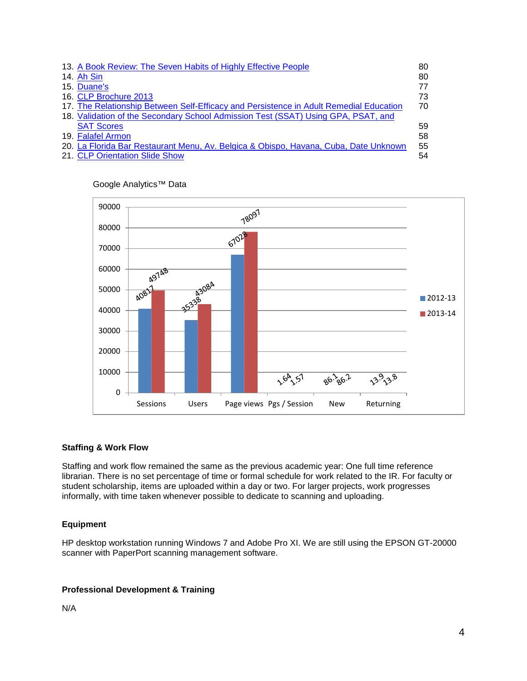| 13. A Book Review: The Seven Habits of Highly Effective People                         | 80 |
|----------------------------------------------------------------------------------------|----|
| 14 Ah Sin                                                                              | 80 |
| 15. Duane's                                                                            | 77 |
| 16. CLP Brochure 2013                                                                  | 73 |
| 17. The Relationship Between Self-Efficacy and Persistence in Adult Remedial Education | 70 |
| 18. Validation of the Secondary School Admission Test (SSAT) Using GPA, PSAT, and      |    |
| <b>SAT Scores</b>                                                                      | 59 |
| 19. Falafel Armon                                                                      | 58 |
| 20. La Florida Bar Restaurant Menu, Av. Belgica & Obispo, Havana, Cuba, Date Unknown   | 55 |
| 21. CLP Orientation Slide Show                                                         | 54 |



Google Analytics™ Data

## **Staffing & Work Flow**

Staffing and work flow remained the same as the previous academic year: One full time reference librarian. There is no set percentage of time or formal schedule for work related to the IR. For faculty or student scholarship, items are uploaded within a day or two. For larger projects, work progresses informally, with time taken whenever possible to dedicate to scanning and uploading.

# **Equipment**

HP desktop workstation running Windows 7 and Adobe Pro XI. We are still using the EPSON GT-20000 scanner with PaperPort scanning management software.

## **Professional Development & Training**

N/A